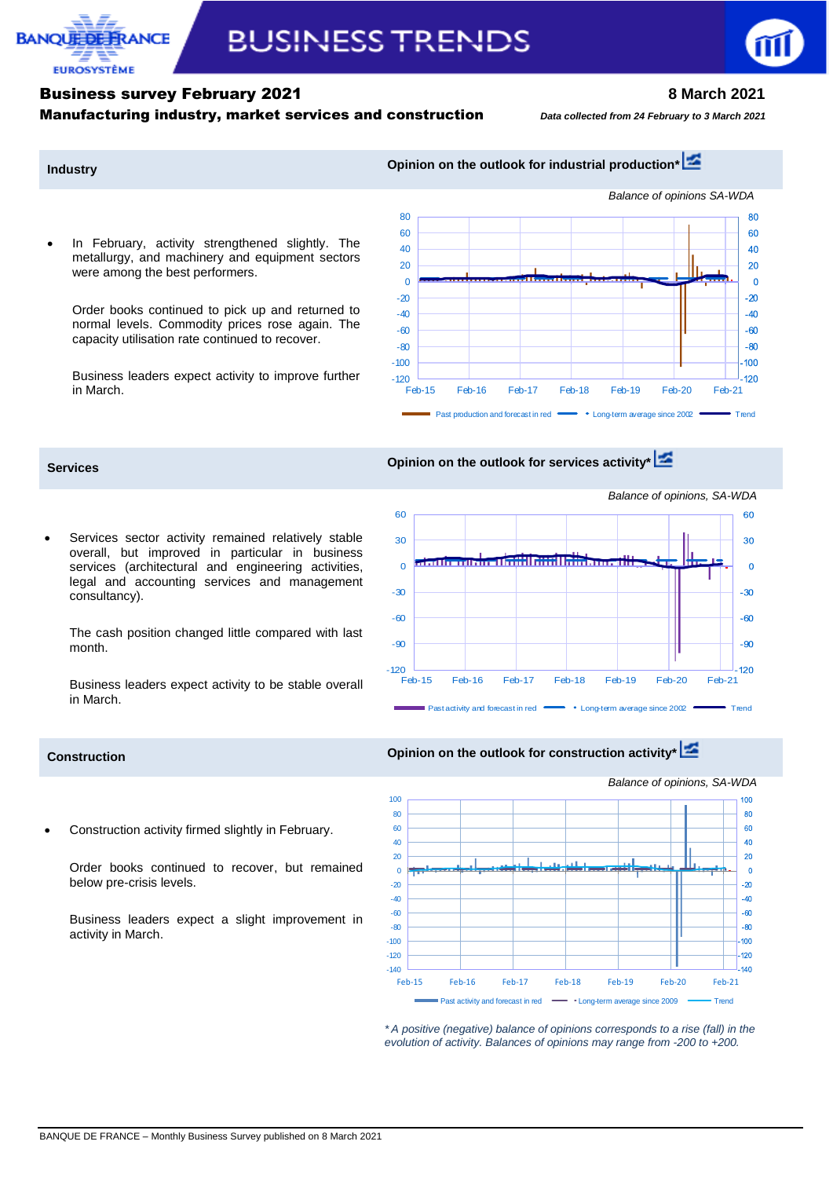

# **BUSINESS TRENDS**

# Business survey February 2021 **8 March 2021**

Manufacturing industry, market services and construction*Data collected from 24 February to 3 March <sup>2021</sup>*

## **Industry Industry Opinion on the outlook for industrial production<sup>[\\*](http://webstat.banque-france.fr/en/publication/Conj_EMC_graph1_EN)</sup>**

 In February, activity strengthened slightly. The metallurgy, and machinery and equipment sectors were among the best performers.

Order books continued to pick up and returned to normal levels. Commodity prices rose again. The capacity utilisation rate continued to recover.

Business leaders expect activity to improve further in March.



# **Services Opinion on the outlook for services activity\***

 Services sector activity remained relatively stable overall, but improved in particular in business services (architectural and engineering activities, legal and accounting services and management consultancy).

The cash position changed little compared with last month.

Business leaders expect activity to be stable overall in March.



Construction activity firmed slightly in February.

Order books continued to recover, but remained below pre-crisis levels.

Business leaders expect a slight improvement in activity in March.

### **Construction Construction Opinion on the outlook for construction activity\***



*\* A positive (negative) balance of opinions corresponds to a rise (fall) in the evolution of activity. Balances of opinions may range from -200 to +200.*

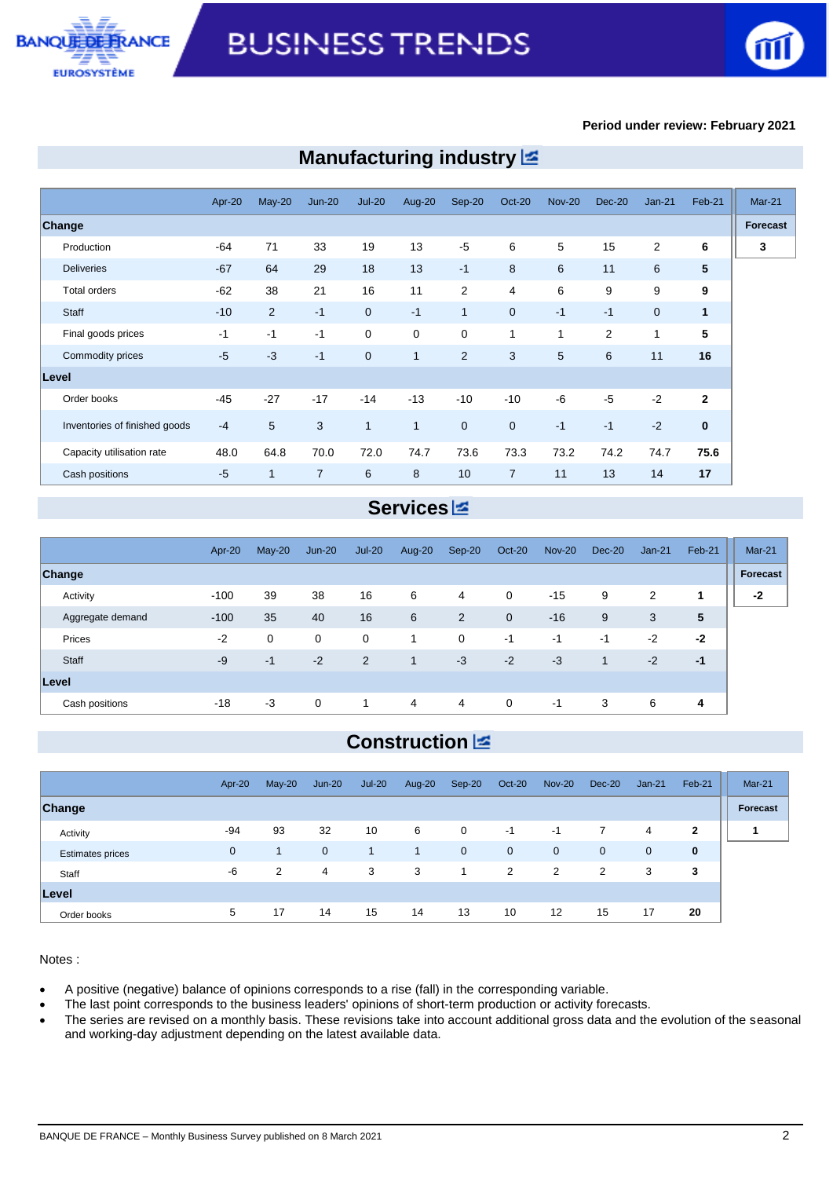



### **Period under review: February 2021**

|                               | Apr-20 | May-20       | $Jun-20$       | <b>Jul-20</b>  | Aug-20       | $Sep-20$       | $Oct-20$       | <b>Nov-20</b> | $Dec-20$ | $Jan-21$       | Feb-21         | <b>Mar-21</b> |
|-------------------------------|--------|--------------|----------------|----------------|--------------|----------------|----------------|---------------|----------|----------------|----------------|---------------|
| Change                        |        |              |                |                |              |                |                |               |          |                |                | Forecast      |
| Production                    | $-64$  | 71           | 33             | 19             | 13           | $-5$           | 6              | 5             | 15       | $\overline{2}$ | 6              | 3             |
| <b>Deliveries</b>             | $-67$  | 64           | 29             | 18             | 13           | $-1$           | 8              | 6             | 11       | 6              | 5              |               |
| <b>Total orders</b>           | $-62$  | 38           | 21             | 16             | 11           | $\overline{2}$ | 4              | 6             | 9        | 9              | 9              |               |
| Staff                         | $-10$  | 2            | $-1$           | $\overline{0}$ | $-1$         | $\mathbf{1}$   | $\overline{0}$ | $-1$          | $-1$     | $\mathbf{0}$   | $\mathbf{1}$   |               |
| Final goods prices            | $-1$   | $-1$         | $-1$           | $\mathbf 0$    | $\mathbf 0$  | 0              | 1              | 1             | 2        | 1              | 5              |               |
| Commodity prices              | $-5$   | $-3$         | $-1$           | $\mathbf{0}$   | $\mathbf{1}$ | $\overline{2}$ | 3              | 5             | 6        | 11             | 16             |               |
| Level                         |        |              |                |                |              |                |                |               |          |                |                |               |
| Order books                   | $-45$  | $-27$        | $-17$          | $-14$          | $-13$        | $-10$          | $-10$          | -6            | $-5$     | $-2$           | $\overline{2}$ |               |
| Inventories of finished goods | $-4$   | 5            | 3              | $\mathbf{1}$   | $\mathbf{1}$ | $\mathbf 0$    | $\overline{0}$ | $-1$          | $-1$     | $-2$           | $\mathbf{0}$   |               |
| Capacity utilisation rate     | 48.0   | 64.8         | 70.0           | 72.0           | 74.7         | 73.6           | 73.3           | 73.2          | 74.2     | 74.7           | 75.6           |               |
| Cash positions                | $-5$   | $\mathbf{1}$ | $\overline{7}$ | 6              | 8            | 10             | $\overline{7}$ | 11            | 13       | 14             | 17             |               |

# **Manufacturing industry**

# **Services**

|                  | Apr-20 | $May-20$    | $Jun-20$    | $Jul-20$ | Aug-20         | Sep-20         | <b>Oct-20</b>  | <b>Nov-20</b> | Dec-20 | $Jan-21$ | Feb-21 | <b>Mar-21</b> |
|------------------|--------|-------------|-------------|----------|----------------|----------------|----------------|---------------|--------|----------|--------|---------------|
| Change           |        |             |             |          |                |                |                |               |        |          |        | Forecast      |
| Activity         | $-100$ | 39          | 38          | 16       | 6              | 4              | $\mathbf 0$    | $-15$         | 9      | 2        |        | $-2$          |
| Aggregate demand | $-100$ | 35          | 40          | 16       | 6              | $\overline{2}$ | $\overline{0}$ | $-16$         | 9      | 3        | 5      |               |
| Prices           | $-2$   | $\mathbf 0$ | $\mathbf 0$ | 0        | 1              | 0              | $-1$           | $-1$          | $-1$   | $-2$     | $-2$   |               |
| Staff            | $-9$   | $-1$        | $-2$        | 2        | $\mathbf{1}$   | $-3$           | $-2$           | $-3$          |        | $-2$     | $-1$   |               |
| <b>Level</b>     |        |             |             |          |                |                |                |               |        |          |        |               |
| Cash positions   | $-18$  | $-3$        | $\mathbf 0$ | 1        | $\overline{4}$ | 4              | $\overline{0}$ | $-1$          | 3      | 6        | 4      |               |

# **Construction**

|                         | Apr-20      | $May-20$ | $Jun-20$ | $Jul-20$     | Aug-20         | Sep-20      | Oct-20         | <b>Nov-20</b>     | Dec-20         | $Jan-21$    | Feb-21       | Mar-21          |
|-------------------------|-------------|----------|----------|--------------|----------------|-------------|----------------|-------------------|----------------|-------------|--------------|-----------------|
| Change                  |             |          |          |              |                |             |                |                   |                |             |              | <b>Forecast</b> |
| Activity                | -94         | 93       | 32       | 10           | 6              | $\mathbf 0$ | $-1$           | $-1$              | $\mathbf{7}$   | 4           | $\mathbf{2}$ | 1               |
| <b>Estimates prices</b> | $\mathbf 0$ |          | 0        | $\mathbf{1}$ | $\overline{1}$ | $\mathbf 0$ | $\overline{0}$ | $\mathbf 0$       | $\mathbf 0$    | $\mathbf 0$ | $\bf{0}$     |                 |
| Staff                   | -6          | 2        | 4        | 3            | 3              | 1           | 2              | 2                 | $\overline{2}$ | 3           | 3            |                 |
| Level                   |             |          |          |              |                |             |                |                   |                |             |              |                 |
| Order books             | 5           | 17       | 14       | 15           | 14             | 13          | 10             | $12 \overline{ }$ | 15             | 17          | 20           |                 |

Notes :

- A positive (negative) balance of opinions corresponds to a rise (fall) in the corresponding variable.
- The last point corresponds to the business leaders' opinions of short-term production or activity forecasts.
- The series are revised on a monthly basis. These revisions take into account additional gross data and the evolution of the seasonal and working-day adjustment depending on the latest available data.